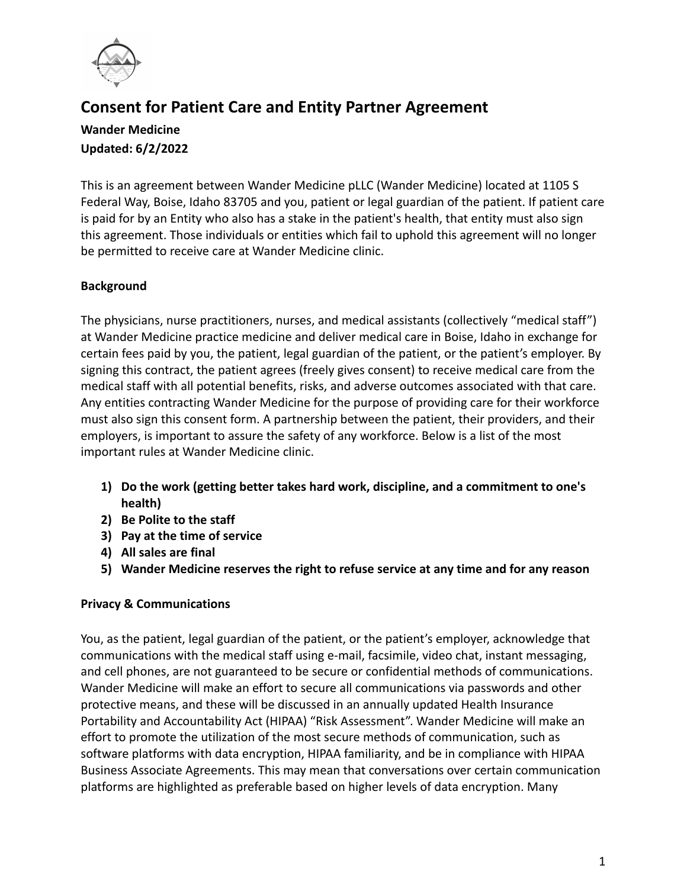

# **Consent for Patient Care and Entity Partner Agreement**

# **Wander Medicine Updated: 6/2/2022**

This is an agreement between Wander Medicine pLLC (Wander Medicine) located at 1105 S Federal Way, Boise, Idaho 83705 and you, patient or legal guardian of the patient. If patient care is paid for by an Entity who also has a stake in the patient's health, that entity must also sign this agreement. Those individuals or entities which fail to uphold this agreement will no longer be permitted to receive care at Wander Medicine clinic.

# **Background**

The physicians, nurse practitioners, nurses, and medical assistants (collectively "medical staff") at Wander Medicine practice medicine and deliver medical care in Boise, Idaho in exchange for certain fees paid by you, the patient, legal guardian of the patient, or the patient's employer. By signing this contract, the patient agrees (freely gives consent) to receive medical care from the medical staff with all potential benefits, risks, and adverse outcomes associated with that care. Any entities contracting Wander Medicine for the purpose of providing care for their workforce must also sign this consent form. A partnership between the patient, their providers, and their employers, is important to assure the safety of any workforce. Below is a list of the most important rules at Wander Medicine clinic.

- **1) Do the work (getting better takes hard work, discipline, and a commitment to one's health)**
- **2) Be Polite to the staff**
- **3) Pay at the time of service**
- **4) All sales are final**
- **5) Wander Medicine reserves the right to refuse service at any time and for any reason**

# **Privacy & Communications**

You, as the patient, legal guardian of the patient, or the patient's employer, acknowledge that communications with the medical staff using e-mail, facsimile, video chat, instant messaging, and cell phones, are not guaranteed to be secure or confidential methods of communications. Wander Medicine will make an effort to secure all communications via passwords and other protective means, and these will be discussed in an annually updated Health Insurance Portability and Accountability Act (HIPAA) "Risk Assessment". Wander Medicine will make an effort to promote the utilization of the most secure methods of communication, such as software platforms with data encryption, HIPAA familiarity, and be in compliance with HIPAA Business Associate Agreements. This may mean that conversations over certain communication platforms are highlighted as preferable based on higher levels of data encryption. Many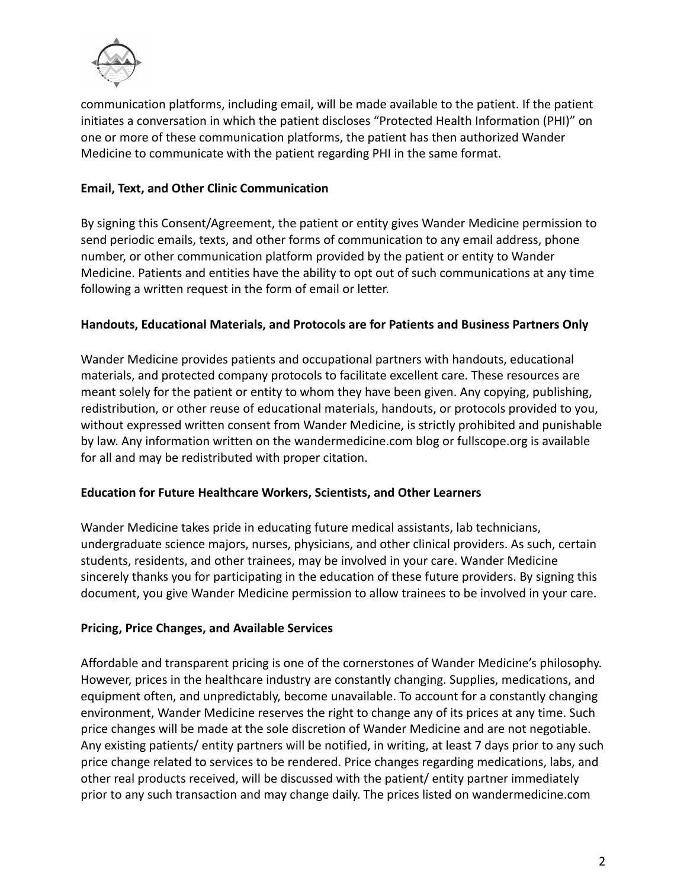

communication platforms, including email, will be made available to the patient. If the patient initiates a conversation in which the patient discloses "Protected Health Information (PHI)" on one or more of these communication platforms, the patient has then authorized Wander Medicine to communicate with the patient regarding PHI in the same format.

# **Email, Text, and Other Clinic Communication**

By signing this Consent/Agreement, the patient or entity gives Wander Medicine permission to send periodic emails, texts, and other forms of communication to any email address, phone number, or other communication platform provided by the patient or entity to Wander Medicine. Patients and entities have the ability to opt out of such communications at any time following a written request in the form of email or letter.

#### **Handouts, Educational Materials, and Protocols are for Patients and Business Partners Only**

Wander Medicine provides patients and occupational partners with handouts, educational materials, and protected company protocols to facilitate excellent care. These resources are meant solely for the patient or entity to whom they have been given. Any copying, publishing, redistribution, or other reuse of educational materials, handouts, or protocols provided to you, without expressed written consent from Wander Medicine, is strictly prohibited and punishable by law. Any information written on the wandermedicine.com blog or fullscope.org is available for all and may be redistributed with proper citation.

#### **Education for Future Healthcare Workers, Scientists, and Other Learners**

Wander Medicine takes pride in educating future medical assistants, lab technicians, undergraduate science majors, nurses, physicians, and other clinical providers. As such, certain students, residents, and other trainees, may be involved in your care. Wander Medicine sincerely thanks you for participating in the education of these future providers. By signing this document, you give Wander Medicine permission to allow trainees to be involved in your care.

#### **Pricing, Price Changes, and Available Services**

Affordable and transparent pricing is one of the cornerstones of Wander Medicine's philosophy. However, prices in the healthcare industry are constantly changing. Supplies, medications, and equipment often, and unpredictably, become unavailable. To account for a constantly changing environment, Wander Medicine reserves the right to change any of its prices at any time. Such price changes will be made at the sole discretion of Wander Medicine and are not negotiable. Any existing patients/ entity partners will be notified, in writing, at least 7 days prior to any such price change related to services to be rendered. Price changes regarding medications, labs, and other real products received, will be discussed with the patient/ entity partner immediately prior to any such transaction and may change daily. The prices listed on wandermedicine.com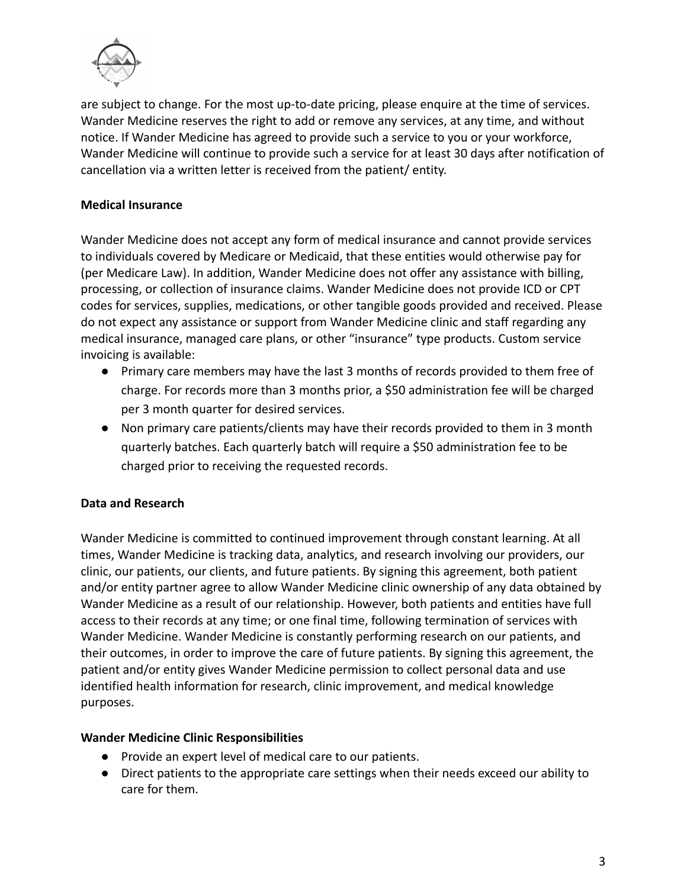

are subject to change. For the most up-to-date pricing, please enquire at the time of services. Wander Medicine reserves the right to add or remove any services, at any time, and without notice. If Wander Medicine has agreed to provide such a service to you or your workforce, Wander Medicine will continue to provide such a service for at least 30 days after notification of cancellation via a written letter is received from the patient/ entity.

## **Medical Insurance**

Wander Medicine does not accept any form of medical insurance and cannot provide services to individuals covered by Medicare or Medicaid, that these entities would otherwise pay for (per Medicare Law). In addition, Wander Medicine does not offer any assistance with billing, processing, or collection of insurance claims. Wander Medicine does not provide ICD or CPT codes for services, supplies, medications, or other tangible goods provided and received. Please do not expect any assistance or support from Wander Medicine clinic and staff regarding any medical insurance, managed care plans, or other "insurance" type products. Custom service invoicing is available:

- Primary care members may have the last 3 months of records provided to them free of charge. For records more than 3 months prior, a \$50 administration fee will be charged per 3 month quarter for desired services.
- Non primary care patients/clients may have their records provided to them in 3 month quarterly batches. Each quarterly batch will require a \$50 administration fee to be charged prior to receiving the requested records.

## **Data and Research**

Wander Medicine is committed to continued improvement through constant learning. At all times, Wander Medicine is tracking data, analytics, and research involving our providers, our clinic, our patients, our clients, and future patients. By signing this agreement, both patient and/or entity partner agree to allow Wander Medicine clinic ownership of any data obtained by Wander Medicine as a result of our relationship. However, both patients and entities have full access to their records at any time; or one final time, following termination of services with Wander Medicine. Wander Medicine is constantly performing research on our patients, and their outcomes, in order to improve the care of future patients. By signing this agreement, the patient and/or entity gives Wander Medicine permission to collect personal data and use identified health information for research, clinic improvement, and medical knowledge purposes.

#### **Wander Medicine Clinic Responsibilities**

- Provide an expert level of medical care to our patients.
- Direct patients to the appropriate care settings when their needs exceed our ability to care for them.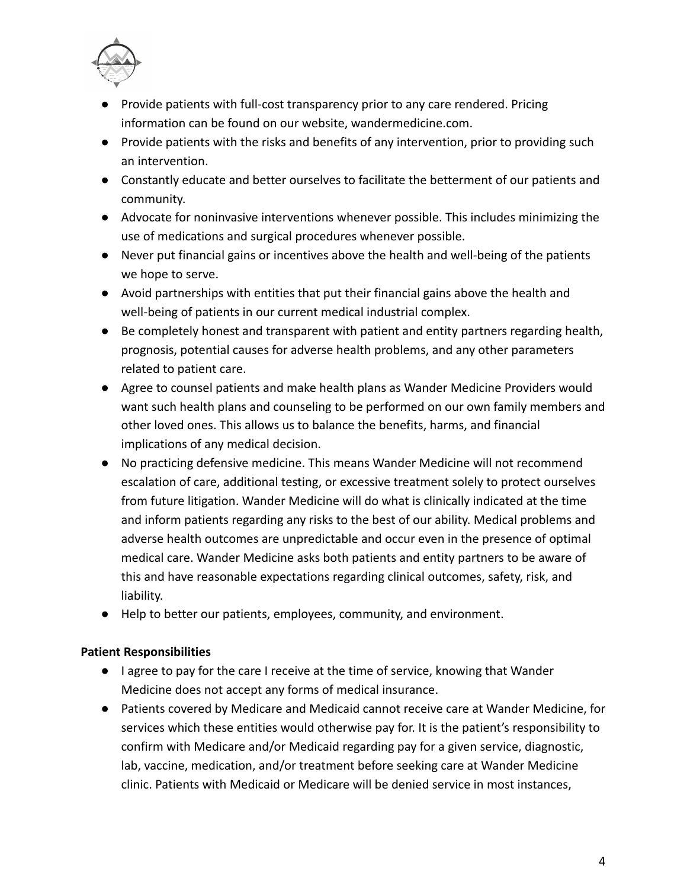

- Provide patients with full-cost transparency prior to any care rendered. Pricing information can be found on our website, wandermedicine.com.
- Provide patients with the risks and benefits of any intervention, prior to providing such an intervention.
- Constantly educate and better ourselves to facilitate the betterment of our patients and community.
- Advocate for noninvasive interventions whenever possible. This includes minimizing the use of medications and surgical procedures whenever possible.
- Never put financial gains or incentives above the health and well-being of the patients we hope to serve.
- Avoid partnerships with entities that put their financial gains above the health and well-being of patients in our current medical industrial complex.
- Be completely honest and transparent with patient and entity partners regarding health, prognosis, potential causes for adverse health problems, and any other parameters related to patient care.
- Agree to counsel patients and make health plans as Wander Medicine Providers would want such health plans and counseling to be performed on our own family members and other loved ones. This allows us to balance the benefits, harms, and financial implications of any medical decision.
- No practicing defensive medicine. This means Wander Medicine will not recommend escalation of care, additional testing, or excessive treatment solely to protect ourselves from future litigation. Wander Medicine will do what is clinically indicated at the time and inform patients regarding any risks to the best of our ability. Medical problems and adverse health outcomes are unpredictable and occur even in the presence of optimal medical care. Wander Medicine asks both patients and entity partners to be aware of this and have reasonable expectations regarding clinical outcomes, safety, risk, and liability.
- Help to better our patients, employees, community, and environment.

## **Patient Responsibilities**

- I agree to pay for the care I receive at the time of service, knowing that Wander Medicine does not accept any forms of medical insurance.
- Patients covered by Medicare and Medicaid cannot receive care at Wander Medicine, for services which these entities would otherwise pay for. It is the patient's responsibility to confirm with Medicare and/or Medicaid regarding pay for a given service, diagnostic, lab, vaccine, medication, and/or treatment before seeking care at Wander Medicine clinic. Patients with Medicaid or Medicare will be denied service in most instances,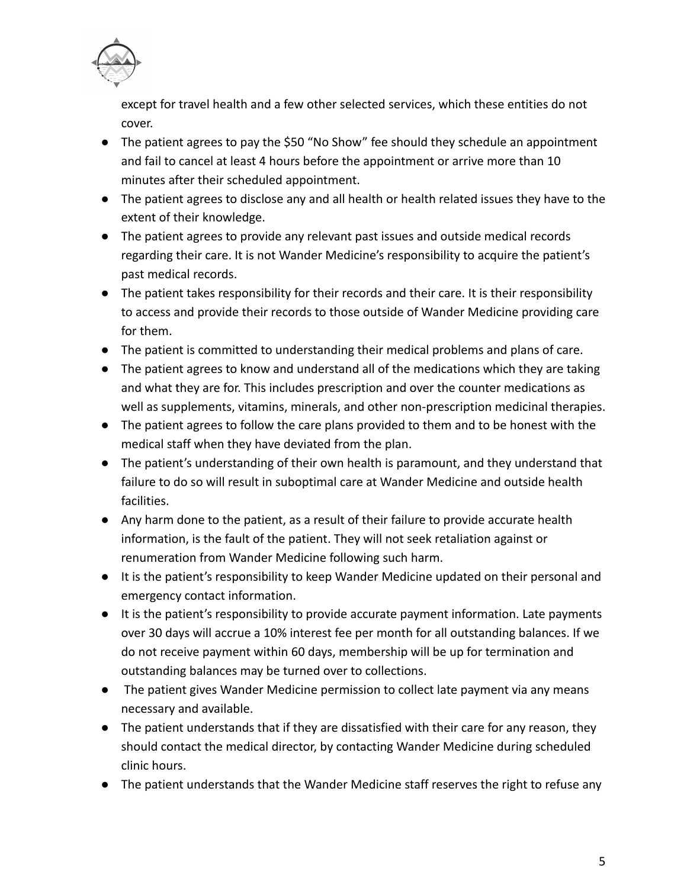

except for travel health and a few other selected services, which these entities do not cover.

- The patient agrees to pay the \$50 "No Show" fee should they schedule an appointment and fail to cancel at least 4 hours before the appointment or arrive more than 10 minutes after their scheduled appointment.
- The patient agrees to disclose any and all health or health related issues they have to the extent of their knowledge.
- The patient agrees to provide any relevant past issues and outside medical records regarding their care. It is not Wander Medicine's responsibility to acquire the patient's past medical records.
- The patient takes responsibility for their records and their care. It is their responsibility to access and provide their records to those outside of Wander Medicine providing care for them.
- The patient is committed to understanding their medical problems and plans of care.
- The patient agrees to know and understand all of the medications which they are taking and what they are for. This includes prescription and over the counter medications as well as supplements, vitamins, minerals, and other non-prescription medicinal therapies.
- The patient agrees to follow the care plans provided to them and to be honest with the medical staff when they have deviated from the plan.
- The patient's understanding of their own health is paramount, and they understand that failure to do so will result in suboptimal care at Wander Medicine and outside health facilities.
- Any harm done to the patient, as a result of their failure to provide accurate health information, is the fault of the patient. They will not seek retaliation against or renumeration from Wander Medicine following such harm.
- It is the patient's responsibility to keep Wander Medicine updated on their personal and emergency contact information.
- It is the patient's responsibility to provide accurate payment information. Late payments over 30 days will accrue a 10% interest fee per month for all outstanding balances. If we do not receive payment within 60 days, membership will be up for termination and outstanding balances may be turned over to collections.
- The patient gives Wander Medicine permission to collect late payment via any means necessary and available.
- The patient understands that if they are dissatisfied with their care for any reason, they should contact the medical director, by contacting Wander Medicine during scheduled clinic hours.
- The patient understands that the Wander Medicine staff reserves the right to refuse any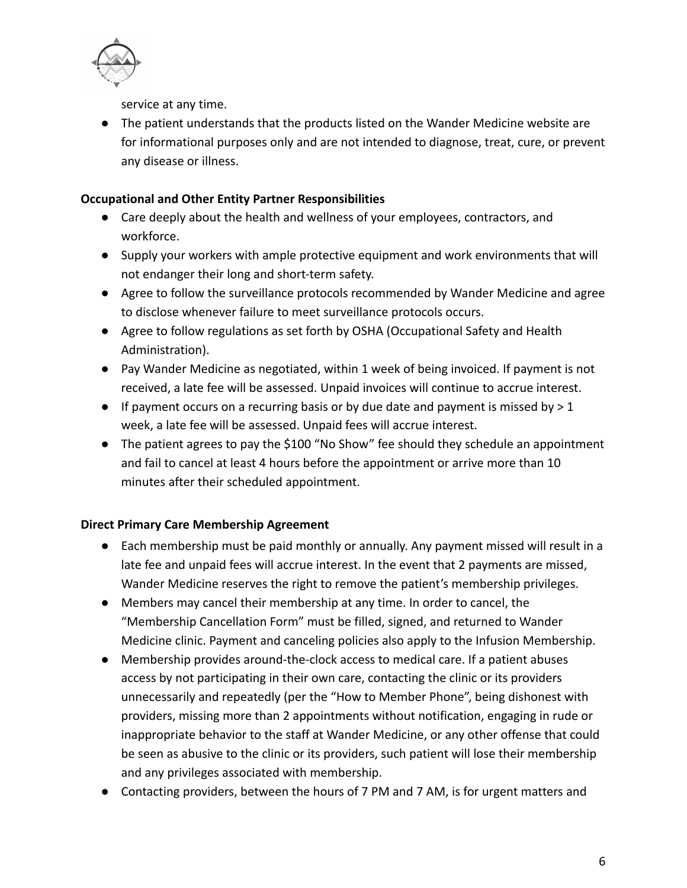

service at any time.

● The patient understands that the products listed on the Wander Medicine website are for informational purposes only and are not intended to diagnose, treat, cure, or prevent any disease or illness.

# **Occupational and Other Entity Partner Responsibilities**

- **●** Care deeply about the health and wellness of your employees, contractors, and workforce.
- **●** Supply your workers with ample protective equipment and work environments that will not endanger their long and short-term safety.
- **●** Agree to follow the surveillance protocols recommended by Wander Medicine and agree to disclose whenever failure to meet surveillance protocols occurs.
- **●** Agree to follow regulations as set forth by OSHA (Occupational Safety and Health Administration).
- **●** Pay Wander Medicine as negotiated, within 1 week of being invoiced. If payment is not received, a late fee will be assessed. Unpaid invoices will continue to accrue interest.
- **●** If payment occurs on a recurring basis or by due date and payment is missed by > 1 week, a late fee will be assessed. Unpaid fees will accrue interest.
- The patient agrees to pay the \$100 "No Show" fee should they schedule an appointment and fail to cancel at least 4 hours before the appointment or arrive more than 10 minutes after their scheduled appointment.

## **Direct Primary Care Membership Agreement**

- **●** Each membership must be paid monthly or annually. Any payment missed will result in a late fee and unpaid fees will accrue interest. In the event that 2 payments are missed, Wander Medicine reserves the right to remove the patient's membership privileges.
- **●** Members may cancel their membership at any time. In order to cancel, the "Membership Cancellation Form" must be filled, signed, and returned to Wander Medicine clinic. Payment and canceling policies also apply to the Infusion Membership.
- **●** Membership provides around-the-clock access to medical care. If a patient abuses access by not participating in their own care, contacting the clinic or its providers unnecessarily and repeatedly (per the "How to Member Phone", being dishonest with providers, missing more than 2 appointments without notification, engaging in rude or inappropriate behavior to the staff at Wander Medicine, or any other offense that could be seen as abusive to the clinic or its providers, such patient will lose their membership and any privileges associated with membership.
- **●** Contacting providers, between the hours of 7 PM and 7 AM, is for urgent matters and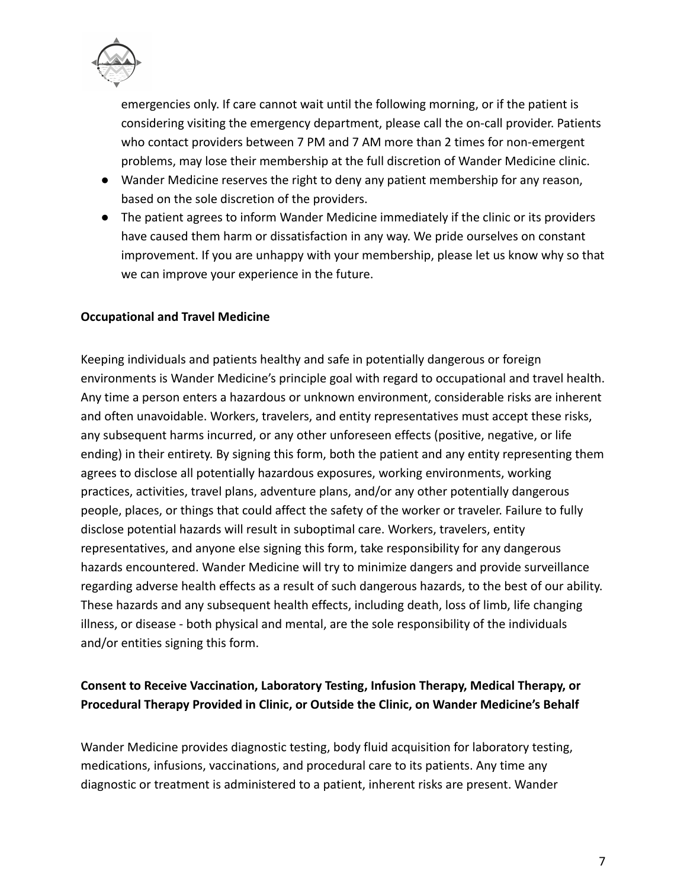

emergencies only. If care cannot wait until the following morning, or if the patient is considering visiting the emergency department, please call the on-call provider. Patients who contact providers between 7 PM and 7 AM more than 2 times for non-emergent problems, may lose their membership at the full discretion of Wander Medicine clinic.

- **●** Wander Medicine reserves the right to deny any patient membership for any reason, based on the sole discretion of the providers.
- **●** The patient agrees to inform Wander Medicine immediately if the clinic or its providers have caused them harm or dissatisfaction in any way. We pride ourselves on constant improvement. If you are unhappy with your membership, please let us know why so that we can improve your experience in the future.

#### **Occupational and Travel Medicine**

Keeping individuals and patients healthy and safe in potentially dangerous or foreign environments is Wander Medicine's principle goal with regard to occupational and travel health. Any time a person enters a hazardous or unknown environment, considerable risks are inherent and often unavoidable. Workers, travelers, and entity representatives must accept these risks, any subsequent harms incurred, or any other unforeseen effects (positive, negative, or life ending) in their entirety. By signing this form, both the patient and any entity representing them agrees to disclose all potentially hazardous exposures, working environments, working practices, activities, travel plans, adventure plans, and/or any other potentially dangerous people, places, or things that could affect the safety of the worker or traveler. Failure to fully disclose potential hazards will result in suboptimal care. Workers, travelers, entity representatives, and anyone else signing this form, take responsibility for any dangerous hazards encountered. Wander Medicine will try to minimize dangers and provide surveillance regarding adverse health effects as a result of such dangerous hazards, to the best of our ability. These hazards and any subsequent health effects, including death, loss of limb, life changing illness, or disease - both physical and mental, are the sole responsibility of the individuals and/or entities signing this form.

# **Consent to Receive Vaccination, Laboratory Testing, Infusion Therapy, Medical Therapy, or Procedural Therapy Provided in Clinic, or Outside the Clinic, on Wander Medicine's Behalf**

Wander Medicine provides diagnostic testing, body fluid acquisition for laboratory testing, medications, infusions, vaccinations, and procedural care to its patients. Any time any diagnostic or treatment is administered to a patient, inherent risks are present. Wander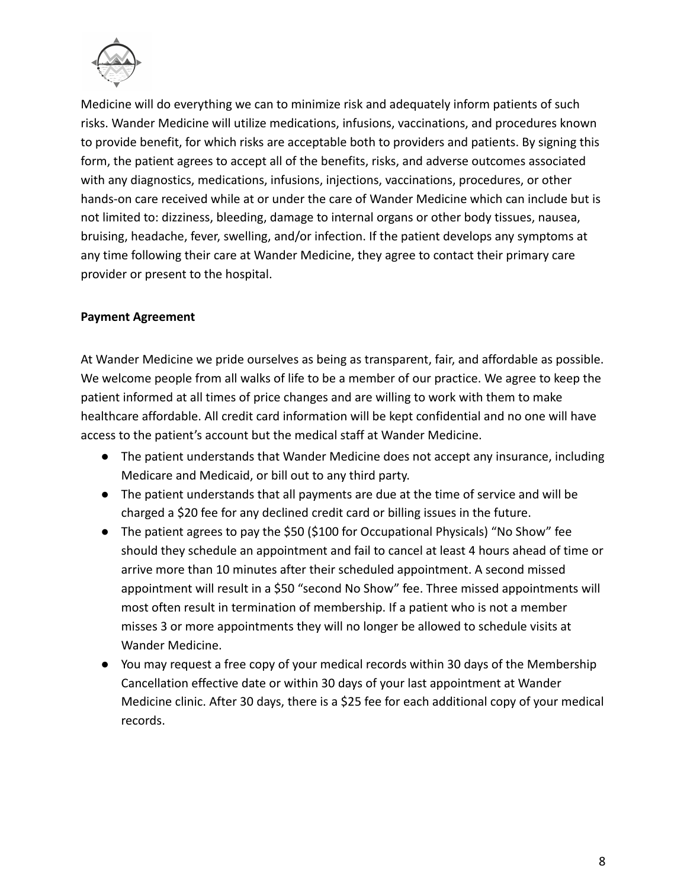

Medicine will do everything we can to minimize risk and adequately inform patients of such risks. Wander Medicine will utilize medications, infusions, vaccinations, and procedures known to provide benefit, for which risks are acceptable both to providers and patients. By signing this form, the patient agrees to accept all of the benefits, risks, and adverse outcomes associated with any diagnostics, medications, infusions, injections, vaccinations, procedures, or other hands-on care received while at or under the care of Wander Medicine which can include but is not limited to: dizziness, bleeding, damage to internal organs or other body tissues, nausea, bruising, headache, fever, swelling, and/or infection. If the patient develops any symptoms at any time following their care at Wander Medicine, they agree to contact their primary care provider or present to the hospital.

## **Payment Agreement**

At Wander Medicine we pride ourselves as being as transparent, fair, and affordable as possible. We welcome people from all walks of life to be a member of our practice. We agree to keep the patient informed at all times of price changes and are willing to work with them to make healthcare affordable. All credit card information will be kept confidential and no one will have access to the patient's account but the medical staff at Wander Medicine.

- The patient understands that Wander Medicine does not accept any insurance, including Medicare and Medicaid, or bill out to any third party.
- The patient understands that all payments are due at the time of service and will be charged a \$20 fee for any declined credit card or billing issues in the future.
- The patient agrees to pay the \$50 (\$100 for Occupational Physicals) "No Show" fee should they schedule an appointment and fail to cancel at least 4 hours ahead of time or arrive more than 10 minutes after their scheduled appointment. A second missed appointment will result in a \$50 "second No Show" fee. Three missed appointments will most often result in termination of membership. If a patient who is not a member misses 3 or more appointments they will no longer be allowed to schedule visits at Wander Medicine.
- You may request a free copy of your medical records within 30 days of the Membership Cancellation effective date or within 30 days of your last appointment at Wander Medicine clinic. After 30 days, there is a \$25 fee for each additional copy of your medical records.